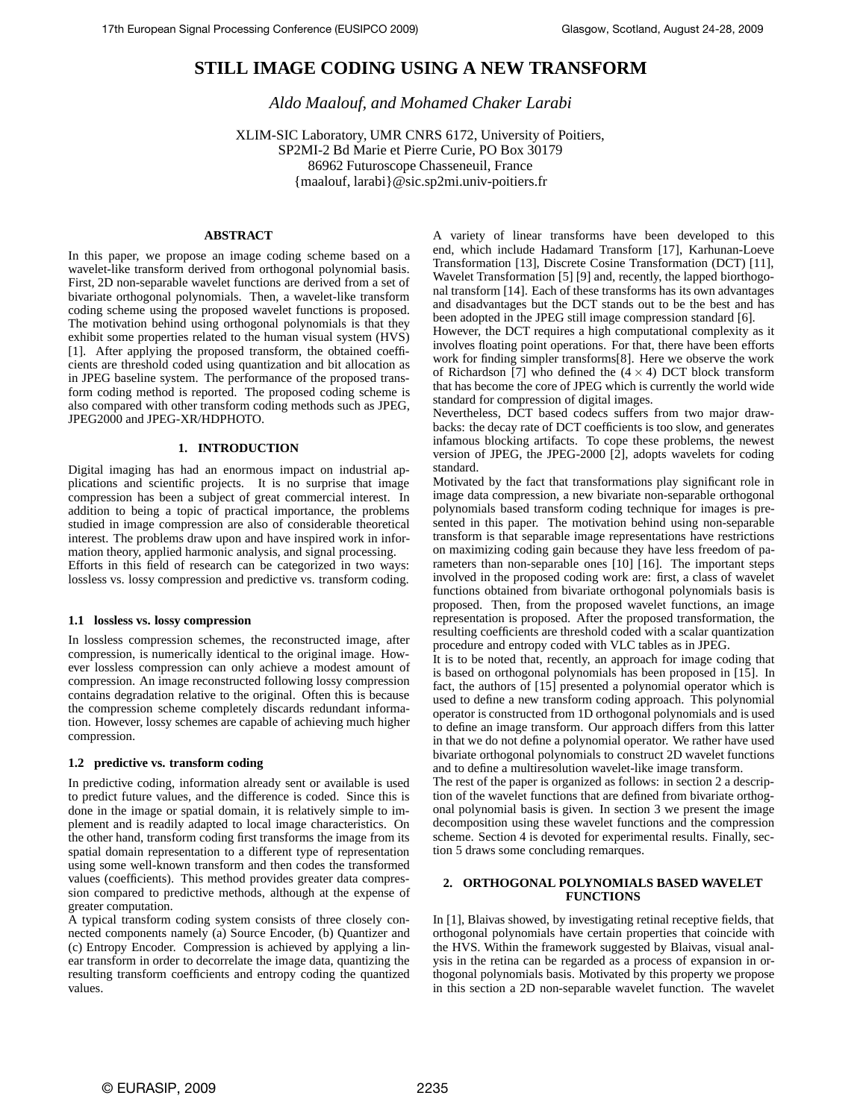# **STILL IMAGE CODING USING A NEW TRANSFORM**

*Aldo Maalouf, and Mohamed Chaker Larabi*

XLIM-SIC Laboratory, UMR CNRS 6172, University of Poitiers, SP2MI-2 Bd Marie et Pierre Curie, PO Box 30179 86962 Futuroscope Chasseneuil, France {maalouf, larabi}@sic.sp2mi.univ-poitiers.fr

# **ABSTRACT**

In this paper, we propose an image coding scheme based on a wavelet-like transform derived from orthogonal polynomial basis. First, 2D non-separable wavelet functions are derived from a set of bivariate orthogonal polynomials. Then, a wavelet-like transform coding scheme using the proposed wavelet functions is proposed. The motivation behind using orthogonal polynomials is that they exhibit some properties related to the human visual system (HVS) [1]. After applying the proposed transform, the obtained coefficients are threshold coded using quantization and bit allocation as in JPEG baseline system. The performance of the proposed transform coding method is reported. The proposed coding scheme is also compared with other transform coding methods such as JPEG, JPEG2000 and JPEG-XR/HDPHOTO.

## **1. INTRODUCTION**

Digital imaging has had an enormous impact on industrial applications and scientific projects. It is no surprise that image compression has been a subject of great commercial interest. In addition to being a topic of practical importance, the problems studied in image compression are also of considerable theoretical interest. The problems draw upon and have inspired work in information theory, applied harmonic analysis, and signal processing. Efforts in this field of research can be categorized in two ways: lossless vs. lossy compression and predictive vs. transform coding.

#### **1.1 lossless vs. lossy compression**

In lossless compression schemes, the reconstructed image, after compression, is numerically identical to the original image. However lossless compression can only achieve a modest amount of compression. An image reconstructed following lossy compression contains degradation relative to the original. Often this is because the compression scheme completely discards redundant information. However, lossy schemes are capable of achieving much higher compression.

# **1.2 predictive vs. transform coding**

In predictive coding, information already sent or available is used to predict future values, and the difference is coded. Since this is done in the image or spatial domain, it is relatively simple to implement and is readily adapted to local image characteristics. On the other hand, transform coding first transforms the image from its spatial domain representation to a different type of representation using some well-known transform and then codes the transformed values (coefficients). This method provides greater data compression compared to predictive methods, although at the expense of greater computation.

A typical transform coding system consists of three closely connected components namely (a) Source Encoder, (b) Quantizer and (c) Entropy Encoder. Compression is achieved by applying a linear transform in order to decorrelate the image data, quantizing the resulting transform coefficients and entropy coding the quantized values.

A variety of linear transforms have been developed to this end, which include Hadamard Transform [17], Karhunan-Loeve Transformation [13], Discrete Cosine Transformation (DCT) [11], Wavelet Transformation [5] [9] and, recently, the lapped biorthogonal transform [14]. Each of these transforms has its own advantages and disadvantages but the DCT stands out to be the best and has been adopted in the JPEG still image compression standard [6].

However, the DCT requires a high computational complexity as it involves floating point operations. For that, there have been efforts work for finding simpler transforms[8]. Here we observe the work of Richardson [7] who defined the  $(4 \times 4)$  DCT block transform that has become the core of JPEG which is currently the world wide standard for compression of digital images.

Nevertheless, DCT based codecs suffers from two major drawbacks: the decay rate of DCT coefficients is too slow, and generates infamous blocking artifacts. To cope these problems, the newest version of JPEG, the JPEG-2000 [2], adopts wavelets for coding standard.

Motivated by the fact that transformations play significant role in image data compression, a new bivariate non-separable orthogonal polynomials based transform coding technique for images is presented in this paper. The motivation behind using non-separable transform is that separable image representations have restrictions on maximizing coding gain because they have less freedom of parameters than non-separable ones [10] [16]. The important steps involved in the proposed coding work are: first, a class of wavelet functions obtained from bivariate orthogonal polynomials basis is proposed. Then, from the proposed wavelet functions, an image representation is proposed. After the proposed transformation, the resulting coefficients are threshold coded with a scalar quantization procedure and entropy coded with VLC tables as in JPEG.

It is to be noted that, recently, an approach for image coding that is based on orthogonal polynomials has been proposed in [15]. In fact, the authors of [15] presented a polynomial operator which is used to define a new transform coding approach. This polynomial operator is constructed from 1D orthogonal polynomials and is used to define an image transform. Our approach differs from this latter in that we do not define a polynomial operator. We rather have used bivariate orthogonal polynomials to construct 2D wavelet functions and to define a multiresolution wavelet-like image transform.

The rest of the paper is organized as follows: in section 2 a description of the wavelet functions that are defined from bivariate orthogonal polynomial basis is given. In section 3 we present the image decomposition using these wavelet functions and the compression scheme. Section 4 is devoted for experimental results. Finally, section 5 draws some concluding remarques.

## **2. ORTHOGONAL POLYNOMIALS BASED WAVELET FUNCTIONS**

In [1], Blaivas showed, by investigating retinal receptive fields, that orthogonal polynomials have certain properties that coincide with the HVS. Within the framework suggested by Blaivas, visual analysis in the retina can be regarded as a process of expansion in orthogonal polynomials basis. Motivated by this property we propose in this section a 2D non-separable wavelet function. The wavelet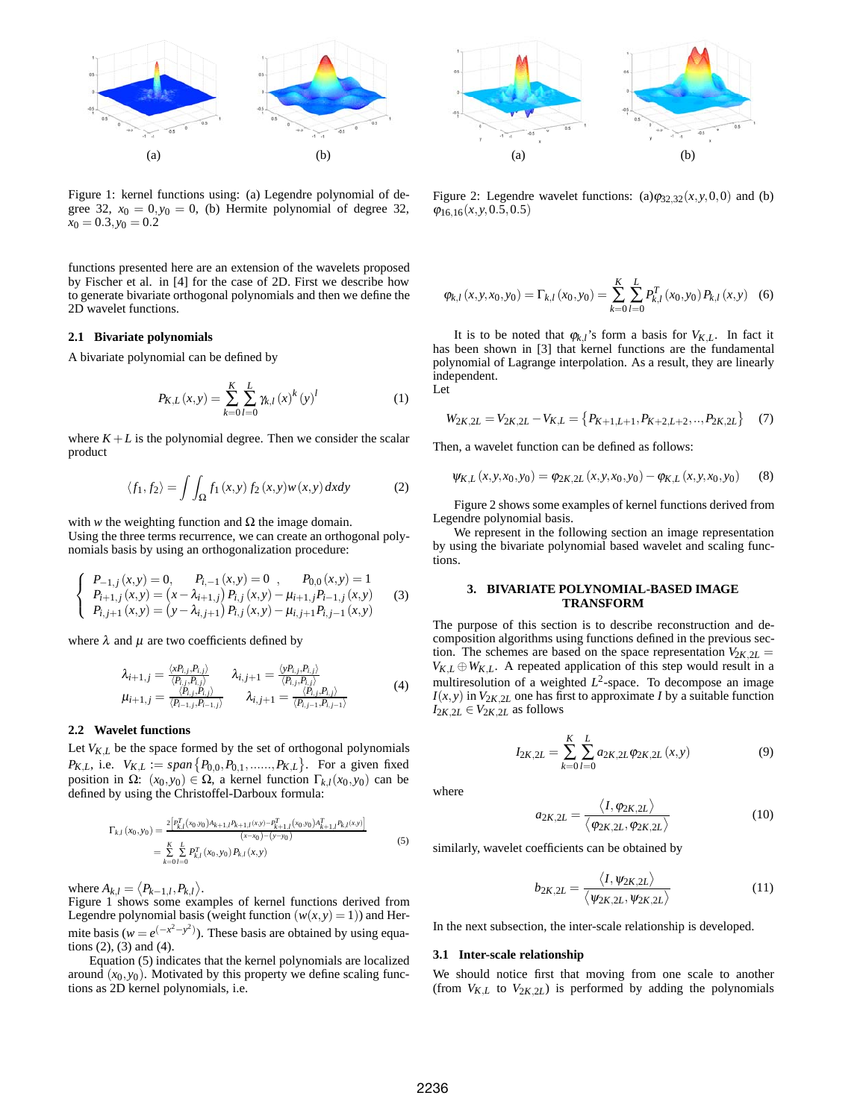

Figure 1: kernel functions using: (a) Legendre polynomial of degree 32,  $x_0 = 0, y_0 = 0$ , (b) Hermite polynomial of degree 32,  $x_0 = 0.3, y_0 = 0.2$ 

functions presented here are an extension of the wavelets proposed by Fischer et al. in [4] for the case of 2D. First we describe how to generate bivariate orthogonal polynomials and then we define the 2D wavelet functions.

#### **2.1 Bivariate polynomials**

A bivariate polynomial can be defined by

$$
P_{K,L}(x,y) = \sum_{k=0}^{K} \sum_{l=0}^{L} \gamma_{k,l}(x)^{k}(y)^{l}
$$
 (1)

where  $K + L$  is the polynomial degree. Then we consider the scalar product

$$
\langle f_1, f_2 \rangle = \int \int_{\Omega} f_1(x, y) f_2(x, y) w(x, y) dx dy \tag{2}
$$

with *w* the weighting function and  $\Omega$  the image domain. Using the three terms recurrence, we can create an orthogonal polynomials basis by using an orthogonalization procedure:

$$
\begin{cases}\nP_{-1,j}(x,y) = 0, & P_{i,-1}(x,y) = 0, & P_{0,0}(x,y) = 1 \\
P_{i+1,j}(x,y) = (x - \lambda_{i+1,j}) P_{i,j}(x,y) - \mu_{i+1,j} P_{i-1,j}(x,y) \\
P_{i,j+1}(x,y) = (y - \lambda_{i,j+1}) P_{i,j}(x,y) - \mu_{i,j+1} P_{i,j-1}(x,y)\n\end{cases}
$$
\n(3)

where  $\lambda$  and  $\mu$  are two coefficients defined by

$$
\lambda_{i+1,j} = \frac{\langle x_{i,j}, P_{i,j} \rangle}{\langle P_{i,j}, P_{i,j} \rangle} \qquad \lambda_{i,j+1} = \frac{\langle y_{i,j}, P_{i,j} \rangle}{\langle P_{i,j}, P_{i,j} \rangle}
$$
\n
$$
\mu_{i+1,j} = \frac{\langle P_{i,j}, P_{i,j} \rangle}{\langle P_{i-1,j}, P_{i-1,j} \rangle} \qquad \lambda_{i,j+1} = \frac{\langle P_{i,j}, P_{i,j} \rangle}{\langle P_{i,j-1}, P_{i,j-1} \rangle}
$$
\n(4)

#### **2.2 Wavelet functions**

Let  $V_{K,L}$  be the space formed by the set of orthogonal polynomials *P<sub>K</sub>*<sub>*L*</sub>, i.e.  $V_{K,L} := span\{P_{0,0}, P_{0,1}, \dots, P_{K,L}\}$ . For a given fixed position in Ω:  $(x_0, y_0) \in Ω$ , a kernel function Γ<sub>*kl*</sub>( $x_0, y_0$ ) can be defined by using the Christoffel-Darboux formula:

$$
\Gamma_{k,l}(x_0, y_0) = \frac{2 \left[ P_{k,l}^T(x_0, y_0) A_{k+1,l} P_{k+1,l}(x, y) - P_{k+1,l}^T(x_0, y_0) A_{k+1,l}^T P_{k,l}(x, y) \right]}{(x - x_0) - (y - y_0)}
$$
\n
$$
= \sum_{k=0}^K \sum_{l=0}^L P_{k,l}^T(x_0, y_0) P_{k,l}(x, y)
$$
\n(5)

where  $A_{k,l} = \langle P_{k-1,l}, P_{k,l} \rangle$ .

Figure 1 shows some examples of kernel functions derived from Legendre polynomial basis (weight function  $(w(x, y) = 1)$ ) and Hermite basis ( $w = e^{(-x^2 - y^2)}$ ). These basis are obtained by using equations (2), (3) and (4).

Equation (5) indicates that the kernel polynomials are localized around  $(x_0, y_0)$ . Motivated by this property we define scaling functions as 2D kernel polynomials, i.e.



Figure 2: Legendre wavelet functions:  $(a)\varphi_{32,32}(x, y, 0, 0)$  and (b)  $\varphi_{16,16}(x, y, 0.5, 0.5)$ 

$$
\varphi_{k,l}(x, y, x_0, y_0) = \Gamma_{k,l}(x_0, y_0) = \sum_{k=0}^{K} \sum_{l=0}^{L} P_{k,l}^T(x_0, y_0) P_{k,l}(x, y)
$$
 (6)

It is to be noted that  $\varphi_{k,l}$ 's form a basis for  $V_{KL}$ . In fact it has been shown in [3] that kernel functions are the fundamental polynomial of Lagrange interpolation. As a result, they are linearly independent. Let

$$
W_{2K,2L} = V_{2K,2L} - V_{K,L} = \{P_{K+1,L+1}, P_{K+2,L+2}, \ldots, P_{2K,2L}\} \tag{7}
$$

Then, a wavelet function can be defined as follows:

$$
\psi_{K,L}(x, y, x_0, y_0) = \varphi_{2K, 2L}(x, y, x_0, y_0) - \varphi_{K,L}(x, y, x_0, y_0)
$$
(8)

Figure 2 shows some examples of kernel functions derived from Legendre polynomial basis.

We represent in the following section an image representation by using the bivariate polynomial based wavelet and scaling functions.

#### **3. BIVARIATE POLYNOMIAL-BASED IMAGE TRANSFORM**

The purpose of this section is to describe reconstruction and decomposition algorithms using functions defined in the previous section. The schemes are based on the space representation  $V_{2K,2L}$  =  $V_{K,L} \oplus W_{K,L}$ . A repeated application of this step would result in a multiresolution of a weighted  $L^2$ -space. To decompose an image  $I(x, y)$  in  $V_{2K, 2L}$  one has first to approximate *I* by a suitable function  $I_{2K,2L} \in V_{2K,2L}$  as follows

$$
I_{2K,2L} = \sum_{k=0}^{K} \sum_{l=0}^{L} a_{2K,2L} \varphi_{2K,2L}(x,y)
$$
(9)

where

$$
a_{2K,2L} = \frac{\langle I, \varphi_{2K,2L} \rangle}{\langle \varphi_{2K,2L}, \varphi_{2K,2L} \rangle}
$$
(10)

similarly, wavelet coefficients can be obtained by

$$
b_{2K,2L} = \frac{\langle I, \psi_{2K,2L} \rangle}{\langle \psi_{2K,2L}, \psi_{2K,2L} \rangle} \tag{11}
$$

In the next subsection, the inter-scale relationship is developed.

#### **3.1 Inter-scale relationship**

We should notice first that moving from one scale to another (from  $V_{KL}$  to  $V_{2K,2L}$ ) is performed by adding the polynomials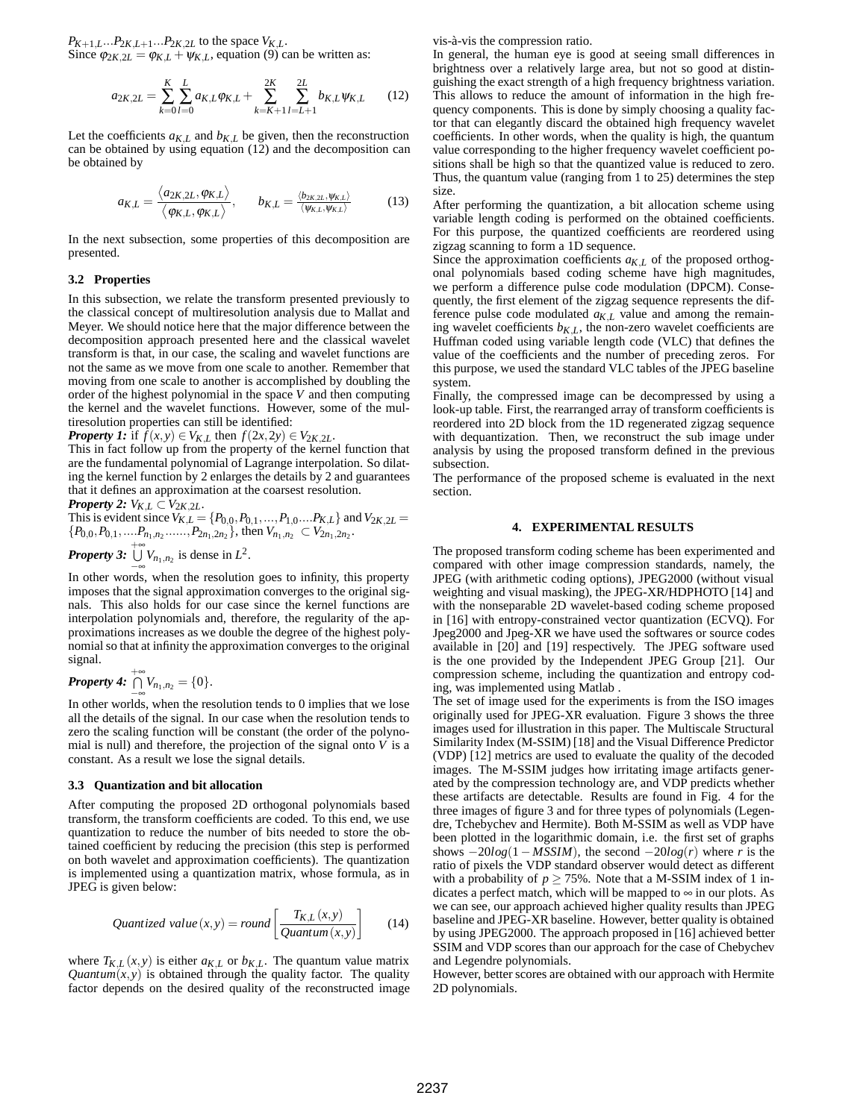$P_{K+1,L}...P_{2K,L+1}...P_{2K,2L}$  to the space  $V_{K,L}$ . Since  $\varphi_{2K,2L} = \varphi_{K,L} + \psi_{K,L}$ , equation (9) can be written as:

$$
a_{2K,2L} = \sum_{k=0}^{K} \sum_{l=0}^{L} a_{K,L} \varphi_{K,L} + \sum_{k=K+1}^{2K} \sum_{l=L+1}^{2L} b_{K,L} \psi_{K,L} \qquad (12)
$$

Let the coefficients  $a_{K,L}$  and  $b_{K,L}$  be given, then the reconstruction can be obtained by using equation (12) and the decomposition can be obtained by

$$
a_{K,L} = \frac{\langle a_{2K,2L}, \varphi_{K,L} \rangle}{\langle \varphi_{K,L}, \varphi_{K,L} \rangle}, \qquad b_{K,L} = \frac{\langle b_{2K,2L}, \psi_{K,L} \rangle}{\langle \psi_{K,L}, \psi_{K,L} \rangle} \tag{13}
$$

In the next subsection, some properties of this decomposition are presented.

# **3.2 Properties**

In this subsection, we relate the transform presented previously to the classical concept of multiresolution analysis due to Mallat and Meyer. We should notice here that the major difference between the decomposition approach presented here and the classical wavelet transform is that, in our case, the scaling and wavelet functions are not the same as we move from one scale to another. Remember that moving from one scale to another is accomplished by doubling the order of the highest polynomial in the space *V* and then computing the kernel and the wavelet functions. However, some of the multiresolution properties can still be identified:

*Property 1:* if  $f(x, y) \in V_{K,L}$  then  $f(2x, 2y) \in V_{2K, 2L}$ .

This in fact follow up from the property of the kernel function that are the fundamental polynomial of Lagrange interpolation. So dilating the kernel function by 2 enlarges the details by 2 and guarantees that it defines an approximation at the coarsest resolution.

*Property 2:*  $V_{K,L} \subset V_{2K,2L}$ .

This is evident since 
$$
V_{K,L} = \{P_{0,0}, P_{0,1}, ..., P_{1,0}...P_{K,L}\}
$$
 and  $V_{2K,2L} = \{P_{0,0}, P_{0,1}, ..., P_{n_1,n_2}, ..., P_{2n_1,2n_2}\}$ , then  $V_{n_1,n_2} \subset V_{2n_1,2n_2}$ .

**Property 3:** 
$$
\bigcup_{-\infty}^{+\infty} V_{n_1,n_2}
$$
 is dense in  $L^2$ .

In other words, when the resolution goes to infinity, this property imposes that the signal approximation converges to the original signals. This also holds for our case since the kernel functions are interpolation polynomials and, therefore, the regularity of the approximations increases as we double the degree of the highest polynomial so that at infinity the approximation converges to the original signal.

Property 4: 
$$
\bigcap_{-\infty}^{+\infty} V_{n_1,n_2} = \{0\}.
$$

In other worlds, when the resolution tends to 0 implies that we lose all the details of the signal. In our case when the resolution tends to zero the scaling function will be constant (the order of the polynomial is null) and therefore, the projection of the signal onto  $V$  is a constant. As a result we lose the signal details.

#### **3.3 Quantization and bit allocation**

After computing the proposed 2D orthogonal polynomials based transform, the transform coefficients are coded. To this end, we use quantization to reduce the number of bits needed to store the obtained coefficient by reducing the precision (this step is performed on both wavelet and approximation coefficients). The quantization is implemented using a quantization matrix, whose formula, as in JPEG is given below:

*Quantized value* 
$$
(x, y) = round \left[ \frac{T_{K,L}(x, y)}{Quantum(x, y)} \right]
$$
 (14)

where  $T_{K,L}(x, y)$  is either  $a_{K,L}$  or  $b_{K,L}$ . The quantum value matrix *Quantum*( $x, y$ ) is obtained through the quality factor. The quality factor depends on the desired quality of the reconstructed image vis-à-vis the compression ratio.

In general, the human eye is good at seeing small differences in brightness over a relatively large area, but not so good at distinguishing the exact strength of a high frequency brightness variation. This allows to reduce the amount of information in the high frequency components. This is done by simply choosing a quality factor that can elegantly discard the obtained high frequency wavelet coefficients. In other words, when the quality is high, the quantum value corresponding to the higher frequency wavelet coefficient positions shall be high so that the quantized value is reduced to zero. Thus, the quantum value (ranging from 1 to 25) determines the step size.

After performing the quantization, a bit allocation scheme using variable length coding is performed on the obtained coefficients. For this purpose, the quantized coefficients are reordered using zigzag scanning to form a 1D sequence.

Since the approximation coefficients  $a_{K,L}$  of the proposed orthogonal polynomials based coding scheme have high magnitudes, we perform a difference pulse code modulation (DPCM). Consequently, the first element of the zigzag sequence represents the difference pulse code modulated  $a_{K,L}$  value and among the remaining wavelet coefficients  $b_{KL}$ , the non-zero wavelet coefficients are Huffman coded using variable length code (VLC) that defines the value of the coefficients and the number of preceding zeros. For this purpose, we used the standard VLC tables of the JPEG baseline system.

Finally, the compressed image can be decompressed by using a look-up table. First, the rearranged array of transform coefficients is reordered into 2D block from the 1D regenerated zigzag sequence with dequantization. Then, we reconstruct the sub image under analysis by using the proposed transform defined in the previous subsection.

The performance of the proposed scheme is evaluated in the next section.

# **4. EXPERIMENTAL RESULTS**

The proposed transform coding scheme has been experimented and compared with other image compression standards, namely, the JPEG (with arithmetic coding options), JPEG2000 (without visual weighting and visual masking), the JPEG-XR/HDPHOTO [14] and with the nonseparable 2D wavelet-based coding scheme proposed in [16] with entropy-constrained vector quantization (ECVQ). For Jpeg2000 and Jpeg-XR we have used the softwares or source codes available in [20] and [19] respectively. The JPEG software used is the one provided by the Independent JPEG Group [21]. Our compression scheme, including the quantization and entropy coding, was implemented using Matlab .

The set of image used for the experiments is from the ISO images originally used for JPEG-XR evaluation. Figure 3 shows the three images used for illustration in this paper. The Multiscale Structural Similarity Index (M-SSIM) [18] and the Visual Difference Predictor (VDP) [12] metrics are used to evaluate the quality of the decoded images. The M-SSIM judges how irritating image artifacts generated by the compression technology are, and VDP predicts whether these artifacts are detectable. Results are found in Fig. 4 for the three images of figure 3 and for three types of polynomials (Legendre, Tchebychev and Hermite). Both M-SSIM as well as VDP have been plotted in the logarithmic domain, i.e. the first set of graphs shows  $-20log(1 - MSSIM)$ , the second  $-20log(r)$  where *r* is the ratio of pixels the VDP standard observer would detect as different with a probability of  $p \ge 75\%$ . Note that a M-SSIM index of 1 indicates a perfect match, which will be mapped to  $\infty$  in our plots. As we can see, our approach achieved higher quality results than JPEG baseline and JPEG-XR baseline. However, better quality is obtained by using JPEG2000. The approach proposed in [16] achieved better SSIM and VDP scores than our approach for the case of Chebychev and Legendre polynomials.

However, better scores are obtained with our approach with Hermite 2D polynomials.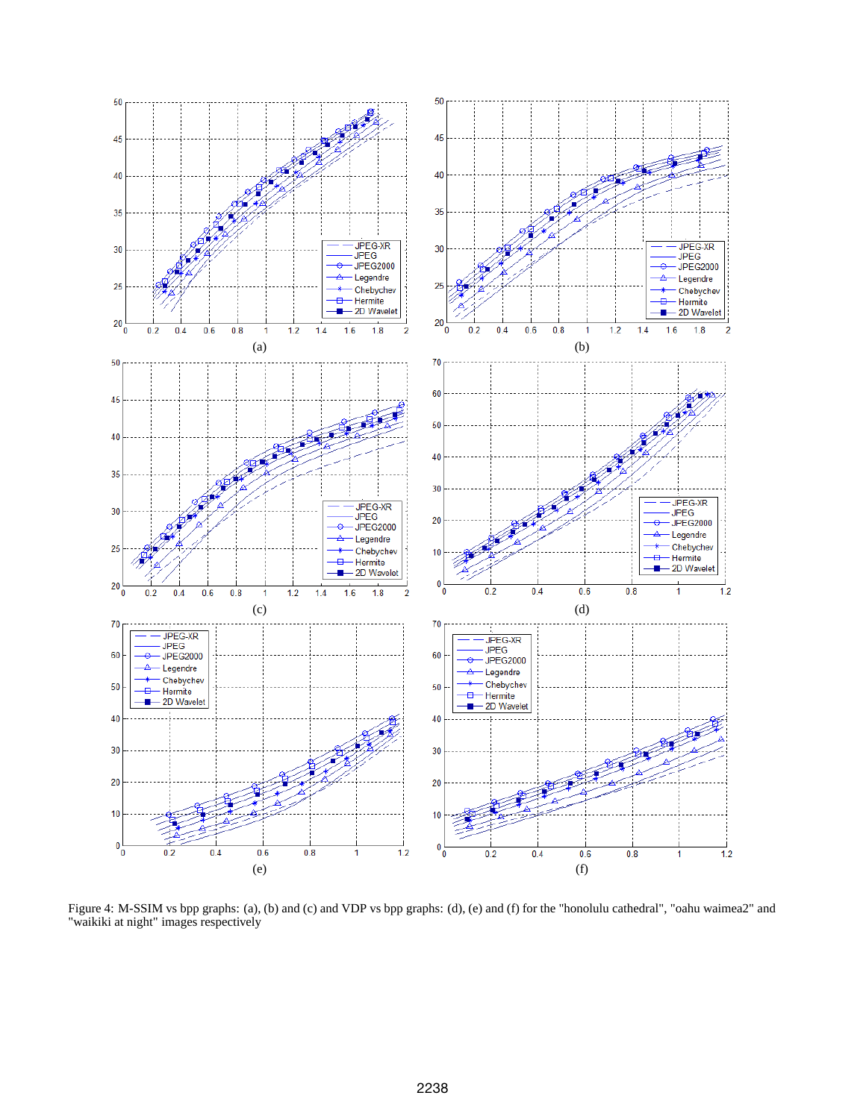

Figure 4: M-SSIM vs bpp graphs: (a), (b) and (c) and VDP vs bpp graphs: (d), (e) and (f) for the "honolulu cathedral", "oahu waimea2" and "waikiki at night" images respectively